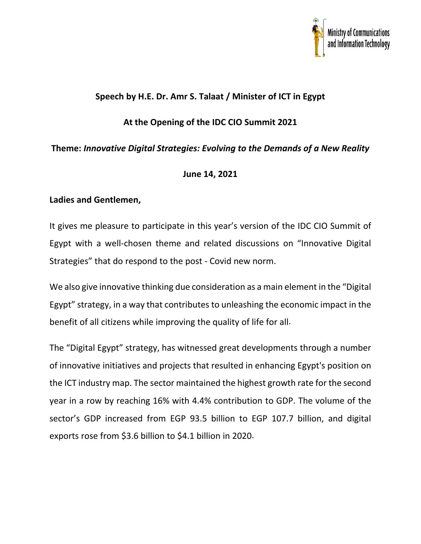

# **Speech by H.E. Dr. Amr S. Talaat / Minister of ICT in Egypt**

## **At the Opening of the IDC CIO Summit 2021**

## **Theme:** *Innovative Digital Strategies: Evolving to the Demands of a New Reality*

### **June 14, 2021**

### **Ladies and Gentlemen,**

It gives me pleasure to participate in this year's version of the IDC CIO Summit of Egypt with a well-chosen theme and related discussions on "Innovative Digital Strategies" that do respond to the post - Covid new norm.

We also give innovative thinking due consideration as a main element in the "Digital Egypt" strategy, in a way that contributes to unleashing the economic impact in the benefit of all citizens while improving the quality of life for all.

The "Digital Egypt" strategy, has witnessed great developments through a number of innovative initiatives and projects that resulted in enhancing Egypt's position on the ICT industry map. The sector maintained the highest growth rate for the second year in a row by reaching 16% with 4.4% contribution to GDP. The volume of the sector's GDP increased from EGP 93.5 billion to EGP 107.7 billion, and digital exports rose from \$3.6 billion to \$4.1 billion in 2020.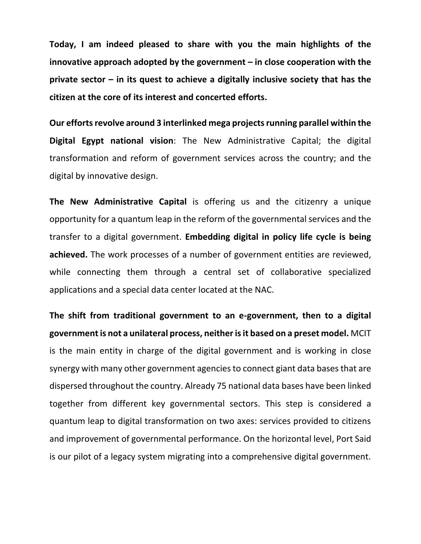**Today, I am indeed pleased to share with you the main highlights of the innovative approach adopted by the government – in close cooperation with the private sector – in its quest to achieve a digitally inclusive society that has the citizen at the core of its interest and concerted efforts.** 

**Our efforts revolve around 3 interlinked mega projects running parallel within the Digital Egypt national vision**: The New Administrative Capital; the digital transformation and reform of government services across the country; and the digital by innovative design.

**The New Administrative Capital** is offering us and the citizenry a unique opportunity for a quantum leap in the reform of the governmental services and the transfer to a digital government. **Embedding digital in policy life cycle is being achieved.** The work processes of a number of government entities are reviewed, while connecting them through a central set of collaborative specialized applications and a special data center located at the NAC.

**The shift from traditional government to an e-government, then to a digital government is not a unilateral process, neither is it based on a preset model.** MCIT is the main entity in charge of the digital government and is working in close synergy with many other government agencies to connect giant data bases that are dispersed throughout the country. Already 75 national data bases have been linked together from different key governmental sectors. This step is considered a quantum leap to digital transformation on two axes: services provided to citizens and improvement of governmental performance. On the horizontal level, Port Said is our pilot of a legacy system migrating into a comprehensive digital government.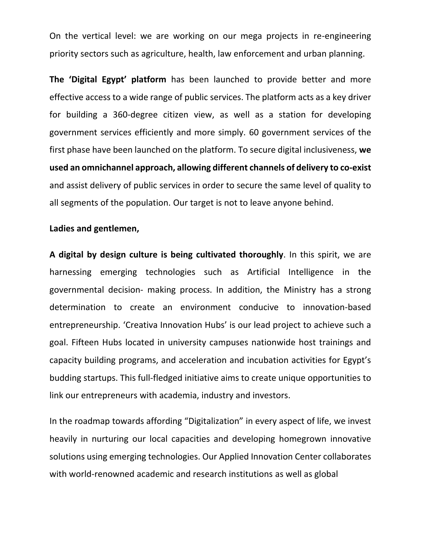On the vertical level: we are working on our mega projects in re-engineering priority sectors such as agriculture, health, law enforcement and urban planning.

**The 'Digital Egypt' platform** has been launched to provide better and more effective access to a wide range of public services. The platform acts as a key driver for building a 360-degree citizen view, as well as a station for developing government services efficiently and more simply. 60 government services of the first phase have been launched on the platform. To secure digital inclusiveness, **we used an omnichannel approach, allowing different channels of delivery to co-exist** and assist delivery of public services in order to secure the same level of quality to all segments of the population. Our target is not to leave anyone behind.

#### **Ladies and gentlemen,**

**A digital by design culture is being cultivated thoroughly**. In this spirit, we are harnessing emerging technologies such as Artificial Intelligence in the governmental decision- making process. In addition, the Ministry has a strong determination to create an environment conducive to innovation-based entrepreneurship. 'Creativa Innovation Hubs' is our lead project to achieve such a goal. Fifteen Hubs located in university campuses nationwide host trainings and capacity building programs, and acceleration and incubation activities for Egypt's budding startups. This full-fledged initiative aims to create unique opportunities to link our entrepreneurs with academia, industry and investors.

In the roadmap towards affording "Digitalization" in every aspect of life, we invest heavily in nurturing our local capacities and developing homegrown innovative solutions using emerging technologies. Our Applied Innovation Center collaborates with world-renowned academic and research institutions as well as global